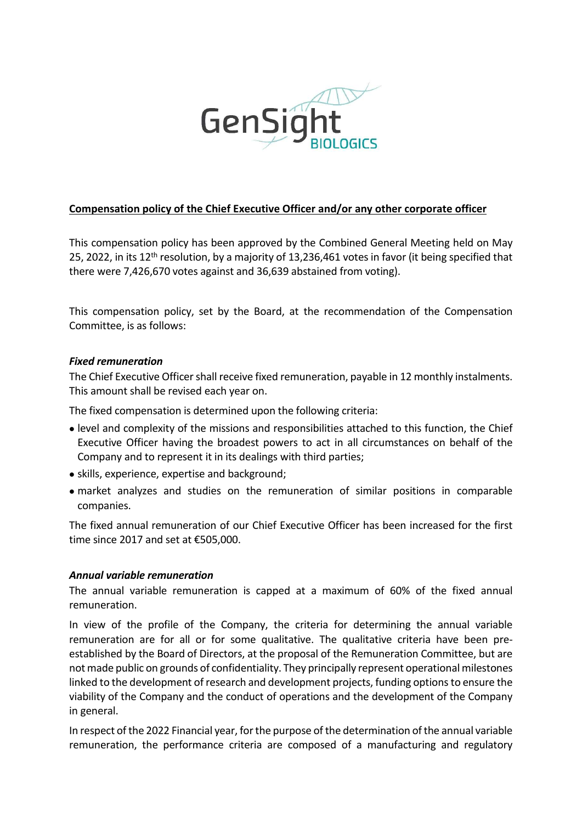

# Compensation policy of the Chief Executive Officer and/or any other corporate officer

This compensation policy has been approved by the Combined General Meeting held on May 25, 2022, in its 12<sup>th</sup> resolution, by a majority of 13,236,461 votes in favor (it being specified that there were 7,426,670 votes against and 36,639 abstained from voting).

This compensation policy, set by the Board, at the recommendation of the Compensation Committee, is as follows:

#### Fixed remuneration

The Chief Executive Officer shall receive fixed remuneration, payable in 12 monthly instalments. This amount shall be revised each year on.

The fixed compensation is determined upon the following criteria:

- level and complexity of the missions and responsibilities attached to this function, the Chief Executive Officer having the broadest powers to act in all circumstances on behalf of the Company and to represent it in its dealings with third parties;
- skills, experience, expertise and background;
- market analyzes and studies on the remuneration of similar positions in comparable companies.

The fixed annual remuneration of our Chief Executive Officer has been increased for the first time since 2017 and set at €505,000.

### Annual variable remuneration

The annual variable remuneration is capped at a maximum of 60% of the fixed annual remuneration.

In view of the profile of the Company, the criteria for determining the annual variable remuneration are for all or for some qualitative. The qualitative criteria have been preestablished by the Board of Directors, at the proposal of the Remuneration Committee, but are not made public on grounds of confidentiality. They principally represent operational milestones linked to the development of research and development projects, funding options to ensure the viability of the Company and the conduct of operations and the development of the Company in general.

In respect of the 2022 Financial year, for the purpose of the determination of the annual variable remuneration, the performance criteria are composed of a manufacturing and regulatory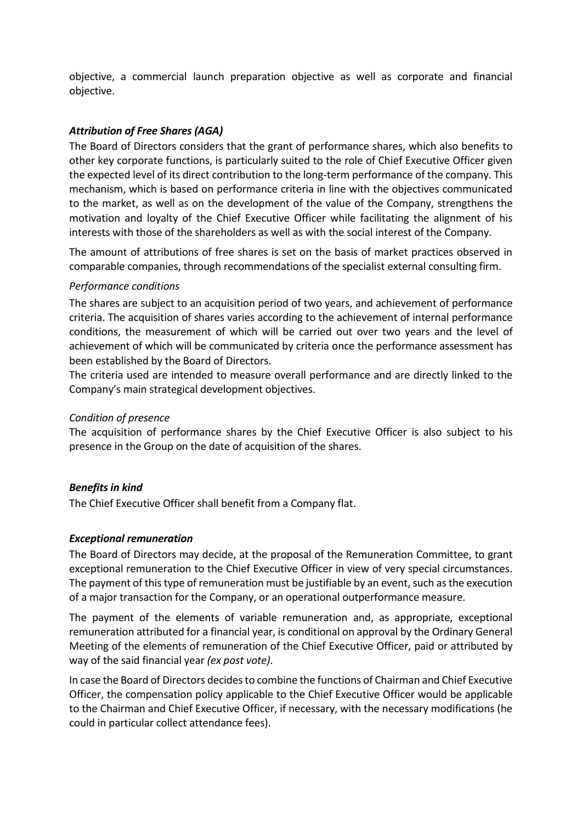objective, a commercial launch preparation objective as well as corporate and financial objective.

# Attribution of Free Shares (AGA)

The Board of Directors considers that the grant of performance shares, which also benefits to other key corporate functions, is particularly suited to the role of Chief Executive Officer given the expected level of its direct contribution to the long-term performance of the company. This mechanism, which is based on performance criteria in line with the objectives communicated to the market, as well as on the development of the value of the Company, strengthens the motivation and loyalty of the Chief Executive Officer while facilitating the alignment of his interests with those of the shareholders as well as with the social interest of the Company.

The amount of attributions of free shares is set on the basis of market practices observed in comparable companies, through recommendations of the specialist external consulting firm.

### Performance conditions

The shares are subject to an acquisition period of two years, and achievement of performance criteria. The acquisition of shares varies according to the achievement of internal performance conditions, the measurement of which will be carried out over two years and the level of achievement of which will be communicated by criteria once the performance assessment has been established by the Board of Directors.

The criteria used are intended to measure overall performance and are directly linked to the Company's main strategical development objectives.

### Condition of presence

The acquisition of performance shares by the Chief Executive Officer is also subject to his presence in the Group on the date of acquisition of the shares.

### Benefits in kind

The Chief Executive Officer shall benefit from a Company flat.

### Exceptional remuneration

The Board of Directors may decide, at the proposal of the Remuneration Committee, to grant exceptional remuneration to the Chief Executive Officer in view of very special circumstances. The payment of this type of remuneration must be justifiable by an event, such as the execution of a major transaction for the Company, or an operational outperformance measure.

The payment of the elements of variable remuneration and, as appropriate, exceptional remuneration attributed for a financial year, is conditional on approval by the Ordinary General Meeting of the elements of remuneration of the Chief Executive Officer, paid or attributed by way of the said financial year (ex post vote).

In case the Board of Directors decides to combine the functions of Chairman and Chief Executive Officer, the compensation policy applicable to the Chief Executive Officer would be applicable to the Chairman and Chief Executive Officer, if necessary, with the necessary modifications (he could in particular collect attendance fees).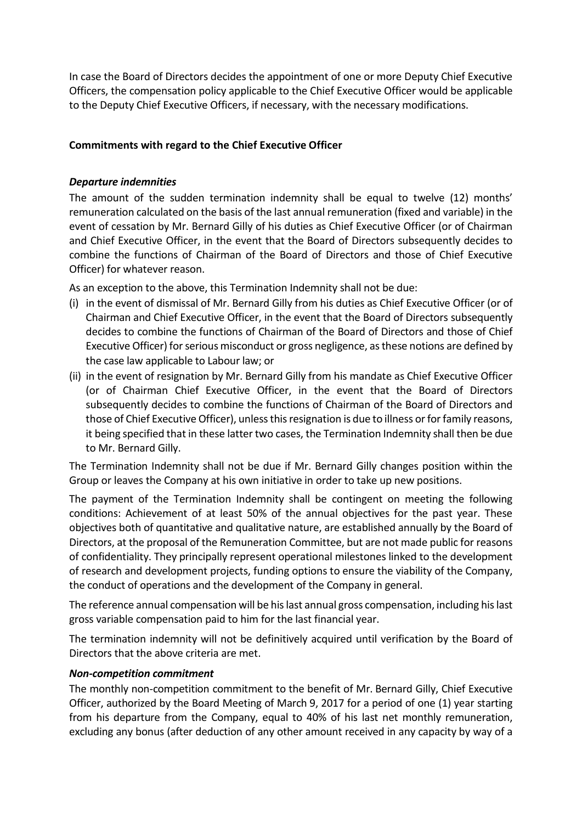In case the Board of Directors decides the appointment of one or more Deputy Chief Executive Officers, the compensation policy applicable to the Chief Executive Officer would be applicable to the Deputy Chief Executive Officers, if necessary, with the necessary modifications.

# Commitments with regard to the Chief Executive Officer

### Departure indemnities

The amount of the sudden termination indemnity shall be equal to twelve (12) months' remuneration calculated on the basis of the last annual remuneration (fixed and variable) in the event of cessation by Mr. Bernard Gilly of his duties as Chief Executive Officer (or of Chairman and Chief Executive Officer, in the event that the Board of Directors subsequently decides to combine the functions of Chairman of the Board of Directors and those of Chief Executive Officer) for whatever reason.

As an exception to the above, this Termination Indemnity shall not be due:

- (i) in the event of dismissal of Mr. Bernard Gilly from his duties as Chief Executive Officer (or of Chairman and Chief Executive Officer, in the event that the Board of Directors subsequently decides to combine the functions of Chairman of the Board of Directors and those of Chief Executive Officer) for serious misconduct or gross negligence, as these notions are defined by the case law applicable to Labour law; or
- (ii) in the event of resignation by Mr. Bernard Gilly from his mandate as Chief Executive Officer (or of Chairman Chief Executive Officer, in the event that the Board of Directors subsequently decides to combine the functions of Chairman of the Board of Directors and those of Chief Executive Officer), unless this resignation is due to illness or for family reasons, it being specified that in these latter two cases, the Termination Indemnity shall then be due to Mr. Bernard Gilly.

The Termination Indemnity shall not be due if Mr. Bernard Gilly changes position within the Group or leaves the Company at his own initiative in order to take up new positions.

The payment of the Termination Indemnity shall be contingent on meeting the following conditions: Achievement of at least 50% of the annual objectives for the past year. These objectives both of quantitative and qualitative nature, are established annually by the Board of Directors, at the proposal of the Remuneration Committee, but are not made public for reasons of confidentiality. They principally represent operational milestones linked to the development of research and development projects, funding options to ensure the viability of the Company, the conduct of operations and the development of the Company in general.

The reference annual compensation will be his last annual gross compensation, including his last gross variable compensation paid to him for the last financial year.

The termination indemnity will not be definitively acquired until verification by the Board of Directors that the above criteria are met.

### Non-competition commitment

The monthly non-competition commitment to the benefit of Mr. Bernard Gilly, Chief Executive Officer, authorized by the Board Meeting of March 9, 2017 for a period of one (1) year starting from his departure from the Company, equal to 40% of his last net monthly remuneration, excluding any bonus (after deduction of any other amount received in any capacity by way of a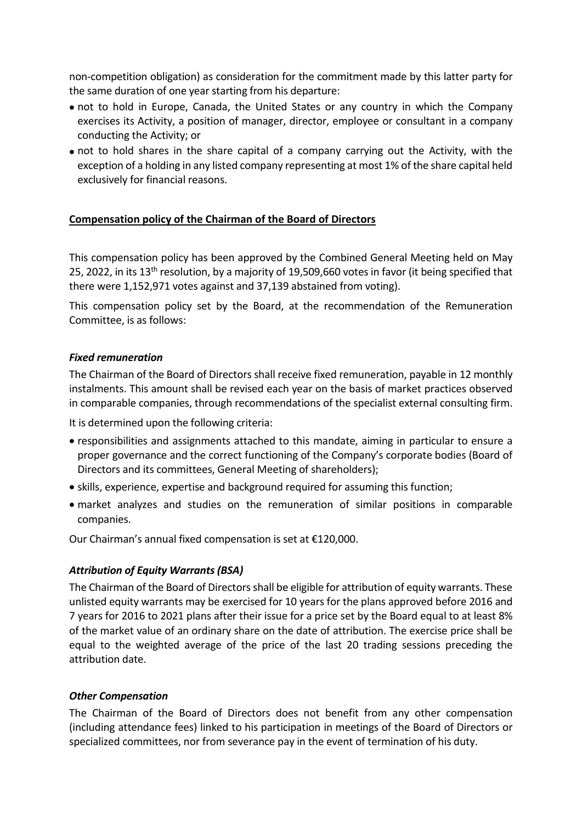non-competition obligation) as consideration for the commitment made by this latter party for the same duration of one year starting from his departure:

- not to hold in Europe, Canada, the United States or any country in which the Company exercises its Activity, a position of manager, director, employee or consultant in a company conducting the Activity; or
- not to hold shares in the share capital of a company carrying out the Activity, with the exception of a holding in any listed company representing at most 1% of the share capital held exclusively for financial reasons.

# Compensation policy of the Chairman of the Board of Directors

This compensation policy has been approved by the Combined General Meeting held on May 25, 2022, in its 13<sup>th</sup> resolution, by a majority of 19,509,660 votes in favor (it being specified that there were 1,152,971 votes against and 37,139 abstained from voting).

This compensation policy set by the Board, at the recommendation of the Remuneration Committee, is as follows:

### Fixed remuneration

The Chairman of the Board of Directors shall receive fixed remuneration, payable in 12 monthly instalments. This amount shall be revised each year on the basis of market practices observed in comparable companies, through recommendations of the specialist external consulting firm.

It is determined upon the following criteria:

- responsibilities and assignments attached to this mandate, aiming in particular to ensure a proper governance and the correct functioning of the Company's corporate bodies (Board of Directors and its committees, General Meeting of shareholders);
- skills, experience, expertise and background required for assuming this function;
- market analyzes and studies on the remuneration of similar positions in comparable companies.

Our Chairman's annual fixed compensation is set at €120,000.

# Attribution of Equity Warrants (BSA)

The Chairman of the Board of Directors shall be eligible for attribution of equity warrants. These unlisted equity warrants may be exercised for 10 years for the plans approved before 2016 and 7 years for 2016 to 2021 plans after their issue for a price set by the Board equal to at least 8% of the market value of an ordinary share on the date of attribution. The exercise price shall be equal to the weighted average of the price of the last 20 trading sessions preceding the attribution date.

### Other Compensation

The Chairman of the Board of Directors does not benefit from any other compensation (including attendance fees) linked to his participation in meetings of the Board of Directors or specialized committees, nor from severance pay in the event of termination of his duty.